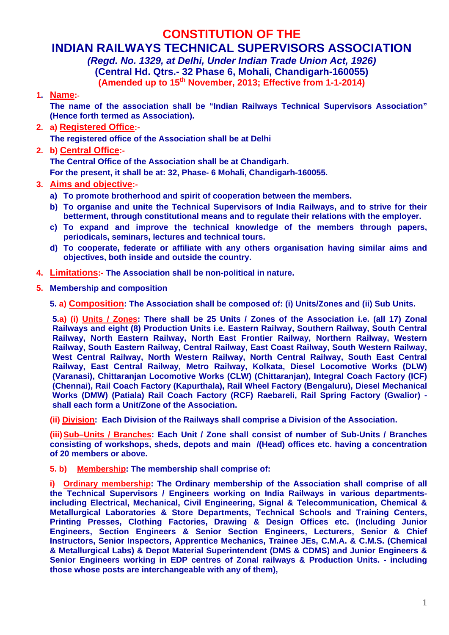# **CONSTITUTION OF THE**

# **INDIAN RAILWAYS TECHNICAL SUPERVISORS ASSOCIATION**

*(Regd. No. 1329, at Delhi, Under Indian Trade Union Act, 1926)*  **(Central Hd. Qtrs.- 32 Phase 6, Mohali, Chandigarh-160055) (Amended up to 15th November, 2013; Effective from 1-1-2014)** 

**1. Name:-** 

**The name of the association shall be "Indian Railways Technical Supervisors Association" (Hence forth termed as Association).** 

**2. a) Registered Office:-**

 **The registered office of the Association shall be at Delhi** 

**2. b) Central Office:-**

 **The Central Office of the Association shall be at Chandigarh.** 

**For the present, it shall be at: 32, Phase- 6 Mohali, Chandigarh-160055.** 

- **3. Aims and objective:**
	- **a) To promote brotherhood and spirit of cooperation between the members.**
	- **b) To organise and unite the Technical Supervisors of India Railways, and to strive for their betterment, through constitutional means and to regulate their relations with the employer.**
	- **c) To expand and improve the technical knowledge of the members through papers, periodicals, seminars, lectures and technical tours.**
	- **d) To cooperate, federate or affiliate with any others organisation having similar aims and objectives, both inside and outside the country.**
- **4. Limitations:- The Association shall be non-political in nature.**
- **5. Membership and composition**

 **5. a) Composition: The Association shall be composed of: (i) Units/Zones and (ii) Sub Units.** 

 **5.a) (i) Units / Zones: There shall be 25 Units / Zones of the Association i.e. (all 17) Zonal Railways and eight (8) Production Units i.e. Eastern Railway, Southern Railway, South Central Railway, North Eastern Railway, North East Frontier Railway, Northern Railway, Western Railway, South Eastern Railway, Central Railway, East Coast Railway, South Western Railway, West Central Railway, North Western Railway, North Central Railway, South East Central Railway, East Central Railway, Metro Railway, Kolkata, Diesel Locomotive Works (DLW) (Varanasi), Chittaranjan Locomotive Works (CLW) (Chittaranjan), Integral Coach Factory (ICF) (Chennai), Rail Coach Factory (Kapurthala), Rail Wheel Factory (Bengaluru), Diesel Mechanical Works (DMW) (Patiala) Rail Coach Factory (RCF) Raebareli, Rail Spring Factory (Gwalior) shall each form a Unit/Zone of the Association.** 

**(ii) Division: Each Division of the Railways shall comprise a Division of the Association.** 

**(iii) Sub–Units / Branches: Each Unit / Zone shall consist of number of Sub-Units / Branches consisting of workshops, sheds, depots and main /(Head) offices etc. having a concentration of 20 members or above.** 

**5. b) Membership: The membership shall comprise of:** 

**i)** Ordinary membership: The Ordinary membership of the Association shall comprise of all **the Technical Supervisors / Engineers working on India Railways in various departmentsincluding Electrical, Mechanical, Civil Engineering, Signal & Telecommunication, Chemical & Metallurgical Laboratories & Store Departments, Technical Schools and Training Centers, Printing Presses, Clothing Factories, Drawing & Design Offices etc. (Including Junior Engineers, Section Engineers & Senior Section Engineers, Lecturers, Senior & Chief Instructors, Senior Inspectors, Apprentice Mechanics, Trainee JEs, C.M.A. & C.M.S. (Chemical & Metallurgical Labs) & Depot Material Superintendent (DMS & CDMS) and Junior Engineers & Senior Engineers working in EDP centres of Zonal railways & Production Units. - including those whose posts are interchangeable with any of them),**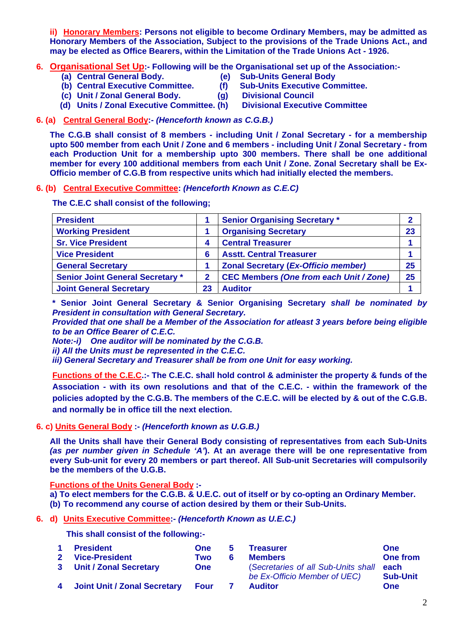**ii) Honorary Members: Persons not eligible to become Ordinary Members, may be admitted as Honorary Members of the Association, Subject to the provisions of the Trade Unions Act., and may be elected as Office Bearers, within the Limitation of the Trade Unions Act - 1926.** 

- **6. Organisational Set Up:- Following will be the Organisational set up of the Association:-** 
	-
- **(e) Sub-Units General Body**
- **(b) Central Executive Committee. (f) Sub-Units Executive Committee.** 
	-
- **(c) Unit / Zonal General Body. (g) Divisional Council**
- **(d) Units / Zonal Executive Committee. (h) Divisional Executive Committee**
- **6. (a) Central General Body:-** *(Henceforth known as C.G.B.)*

 **The C.G.B shall consist of 8 members - including Unit / Zonal Secretary - for a membership upto 500 member from each Unit / Zone and 6 members - including Unit / Zonal Secretary - from each Production Unit for a membership upto 300 members. There shall be one additional member for every 100 additional members from each Unit / Zone. Zonal Secretary shall be Ex-Officio member of C.G.B from respective units which had initially elected the members.** 

#### **6. (b) Central Executive Committee:** *(Henceforth Known as C.E.C)*

**The C.E.C shall consist of the following;** 

| <b>President</b>                        |    | <b>Senior Organising Secretary *</b>           |    |
|-----------------------------------------|----|------------------------------------------------|----|
| <b>Working President</b>                |    | <b>Organising Secretary</b>                    |    |
| <b>Sr. Vice President</b>               |    | <b>Central Treasurer</b>                       |    |
| <b>Vice President</b>                   | 6  | <b>Asstt. Central Treasurer</b>                |    |
| <b>General Secretary</b>                |    | <b>Zonal Secretary (Ex-Officio member)</b>     | 25 |
| <b>Senior Joint General Secretary *</b> | 2  | <b>CEC Members (One from each Unit / Zone)</b> | 25 |
| <b>Joint General Secretary</b>          | 23 | <b>Auditor</b>                                 |    |

**\* Senior Joint General Secretary & Senior Organising Secretary** *shall be nominated by President in consultation with General Secretary.* 

*Provided that one shall be a Member of the Association for atleast 3 years before being eligible to be an Office Bearer of C.E.C.* 

*Note:-i) One auditor will be nominated by the C.G.B.* 

*ii) All the Units must be represented in the C.E.C.* 

*iii) General Secretary and Treasurer shall be from one Unit for easy working.* 

**Functions of the C.E.C.:- The C.E.C. shall hold control & administer the property & funds of the Association - with its own resolutions and that of the C.E.C. - within the framework of the policies adopted by the C.G.B. The members of the C.E.C. will be elected by & out of the C.G.B. and normally be in office till the next election.** 

# **6. c) Units General Body :-** *(Henceforth known as U.G.B.)*

 **All the Units shall have their General Body consisting of representatives from each Sub-Units**  *(as per number given in Schedule 'A'***). At an average there will be one representative from every Sub-unit for every 20 members or part thereof. All Sub-unit Secretaries will compulsorily be the members of the U.G.B.** 

**Functions of the Units General Body :-** 

**a) To elect members for the C.G.B. & U.E.C. out of itself or by co-opting an Ordinary Member.** 

 **(b) To recommend any course of action desired by them or their Sub-Units.** 

# **6. d) Units Executive Committee:-** *(Henceforth Known as U.E.C.)*

 **This shall consist of the following:-** 

| $\blacktriangleleft$ | <b>President</b>               | <b>One</b> | $5 -$ | <b>Treasurer</b>                                                    | One                     |
|----------------------|--------------------------------|------------|-------|---------------------------------------------------------------------|-------------------------|
|                      | 2 Vice-President               | Two        | 6     | <b>Members</b>                                                      | <b>One from</b>         |
|                      | 3 Unit / Zonal Secretary       | <b>One</b> |       | (Secretaries of all Sub-Units shall<br>be Ex-Officio Member of UEC) | each<br><b>Sub-Unit</b> |
|                      | 4 Joint Unit / Zonal Secretary | Four       |       | <b>Auditor</b>                                                      | <b>One</b>              |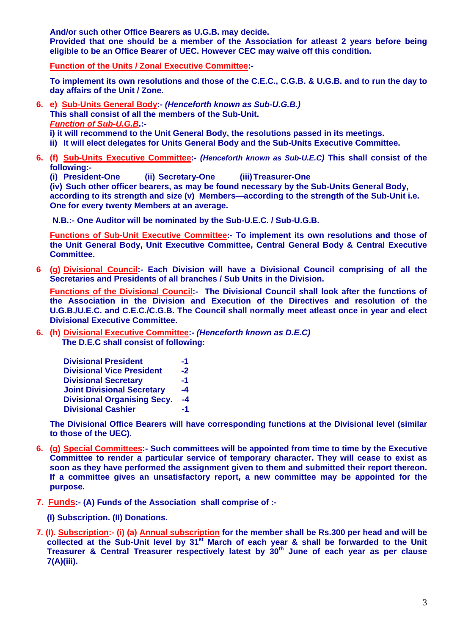**And/or such other Office Bearers as U.G.B. may decide.** 

 **Provided that one should be a member of the Association for atleast 2 years before being eligible to be an Office Bearer of UEC. However CEC may waive off this condition.** 

**Function of the Units / Zonal Executive Committee:-** 

**To implement its own resolutions and those of the C.E.C., C.G.B. & U.G.B. and to run the day to day affairs of the Unit / Zone.** 

- **6. e) Sub-Units General Body:-** *(Henceforth known as Sub-U.G.B.)*  **This shall consist of all the members of the Sub-Unit.**  *Function of Sub-U.G.B***.: i) it will recommend to the Unit General Body, the resolutions passed in its meetings. ii) It will elect delegates for Units General Body and the Sub-Units Executive Committee.**
- **6. (f) Sub-Units Executive Committee:-** *(Henceforth known as Sub-U.E.C)* **This shall consist of the following:-** 
	- **(i) President-One (ii) Secretary-One (iii) Treasurer-One**

 **(iv) Such other officer bearers, as may be found necessary by the Sub-Units General Body, according to its strength and size (v) Members—according to the strength of the Sub-Unit i.e. One for every twenty Members at an average.** 

 **N.B.:- One Auditor will be nominated by the Sub-U.E.C. / Sub-U.G.B.** 

**Functions of Sub-Unit Executive Committee:- To implement its own resolutions and those of the Unit General Body, Unit Executive Committee, Central General Body & Central Executive Committee.** 

**6 (g) Divisional Council:- Each Division will have a Divisional Council comprising of all the Secretaries and Presidents of all branches / Sub Units in the Division.** 

Functions of the Divisional Council:- The Divisional Council shall look after the functions of **the Association in the Division and Execution of the Directives and resolution of the U.G.B./U.E.C. and C.E.C./C.G.B. The Council shall normally meet atleast once in year and elect Divisional Executive Committee.** 

**6. (h) Divisional Executive Committee:-** *(Henceforth known as D.E.C)* **The D.E.C shall consist of following:** 

| <b>Divisional President</b>        |      |
|------------------------------------|------|
| <b>Divisional Vice President</b>   | $-2$ |
| <b>Divisional Secretary</b>        | $-1$ |
| <b>Joint Divisional Secretary</b>  |      |
| <b>Divisional Organising Secy.</b> |      |
| <b>Divisional Cashier</b>          | -1   |

 **The Divisional Office Bearers will have corresponding functions at the Divisional level (similar to those of the UEC).** 

- **6. (g) Special Committees:- Such committees will be appointed from time to time by the Executive Committee to render a particular service of temporary character. They will cease to exist as soon as they have performed the assignment given to them and submitted their report thereon. If a committee gives an unsatisfactory report, a new committee may be appointed for the purpose.**
- **7. Funds:- (A) Funds of the Association shall comprise of :-** 
	- **(I) Subscription. (II) Donations.**
- **7. (I). Subscription:- (i) (a) Annual subscription for the member shall be Rs.300 per head and will be**  collected at the Sub-Unit level by 31<sup>st</sup> March of each year & shall be forwarded to the Unit **Treasurer & Central Treasurer respectively latest by 30th June of each year as per clause 7(A)(iii).**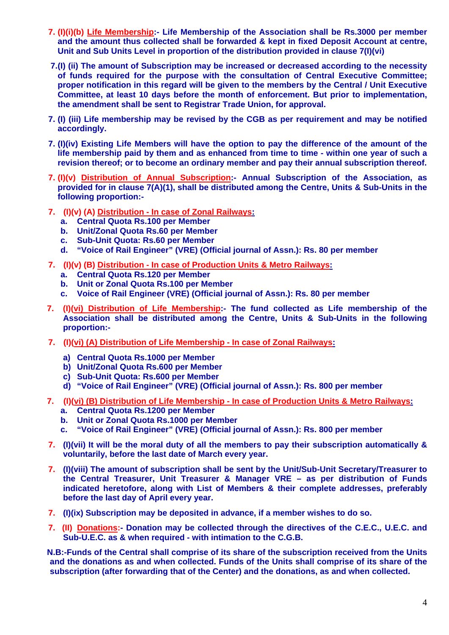- **7. (I)(i)(b) Life Membership:- Life Membership of the Association shall be Rs.3000 per member and the amount thus collected shall be forwarded & kept in fixed Deposit Account at centre, Unit and Sub Units Level in proportion of the distribution provided in clause 7(I)(vi)**
- **7. (I) (ii) The amount of Subscription may be increased or decreased according to the necessity of funds required for the purpose with the consultation of Central Executive Committee; proper notification in this regard will be given to the members by the Central / Unit Executive Committee, at least 10 days before the month of enforcement. But prior to implementation, the amendment shall be sent to Registrar Trade Union, for approval.**
- **7. (I) (iii) Life membership may be revised by the CGB as per requirement and may be notified accordingly.**
- **7. (I)(iv) Existing Life Members will have the option to pay the difference of the amount of the life membership paid by them and as enhanced from time to time - within one year of such a revision thereof; or to become an ordinary member and pay their annual subscription thereof.**
- **7. (I)(v) Distribution of Annual Subscription:- Annual Subscription of the Association, as provided for in clause 7(A)(1), shall be distributed among the Centre, Units & Sub-Units in the following proportion:-**
- **7. (I)(v) (A) Distribution In case of Zonal Railways:**
	- **a. Central Quota Rs.100 per Member**
	- **b. Unit/Zonal Quota Rs.60 per Member**
	- **c. Sub-Unit Quota: Rs.60 per Member**
	- **d. "Voice of Rail Engineer" (VRE) (Official journal of Assn.): Rs. 80 per member**
- **7. (I)(v) (B) Distribution In case of Production Units & Metro Railways:**
	- **a. Central Quota Rs.120 per Member**
	- **b. Unit or Zonal Quota Rs.100 per Member**
	- **c. Voice of Rail Engineer (VRE) (Official journal of Assn.): Rs. 80 per member**
- **7. (I)(vi) Distribution of Life Membership:- The fund collected as Life membership of the Association shall be distributed among the Centre, Units & Sub-Units in the following proportion:-**
- **7. (I)(vi) (A) Distribution of Life Membership In case of Zonal Railways:**
	- **a) Central Quota Rs.1000 per Member**
	- **b) Unit/Zonal Quota Rs.600 per Member**
	- **c) Sub-Unit Quota: Rs.600 per Member**
	- **d) "Voice of Rail Engineer" (VRE) (Official journal of Assn.): Rs. 800 per member**
- **7. (I)(vi) (B) Distribution of Life Membership In case of Production Units & Metro Railways:**
	- **a. Central Quota Rs.1200 per Member**
	- **b. Unit or Zonal Quota Rs.1000 per Member**
	- **c. "Voice of Rail Engineer" (VRE) (Official journal of Assn.): Rs. 800 per member**
- **7. (I)(vii) It will be the moral duty of all the members to pay their subscription automatically & voluntarily, before the last date of March every year.**
- **7. (I)(viii) The amount of subscription shall be sent by the Unit/Sub-Unit Secretary/Treasurer to the Central Treasurer, Unit Treasurer & Manager VRE – as per distribution of Funds indicated heretofore, along with List of Members & their complete addresses, preferably before the last day of April every year.**
- **7. (I)(ix) Subscription may be deposited in advance, if a member wishes to do so.**
- **7. (II) Donations:- Donation may be collected through the directives of the C.E.C., U.E.C. and Sub-U.E.C. as & when required - with intimation to the C.G.B.**

**N.B:-Funds of the Central shall comprise of its share of the subscription received from the Units and the donations as and when collected. Funds of the Units shall comprise of its share of the subscription (after forwarding that of the Center) and the donations, as and when collected.**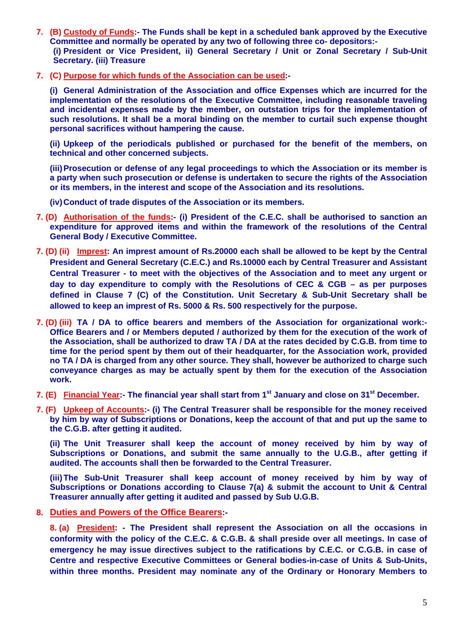- **7. (B) Custody of Funds:- The Funds shall be kept in a scheduled bank approved by the Executive Committee and normally be operated by any two of following three co- depositors:- (i) President or Vice President, ii) General Secretary / Unit or Zonal Secretary / Sub-Unit Secretary. (iii) Treasure**
- **7. (C) Purpose for which funds of the Association can be used:-**

 **(i) General Administration of the Association and office Expenses which are incurred for the implementation of the resolutions of the Executive Committee, including reasonable traveling and incidental expenses made by the member, on outstation trips for the implementation of such resolutions. It shall be a moral binding on the member to curtail such expense thought personal sacrifices without hampering the cause.** 

 **(ii) Upkeep of the periodicals published or purchased for the benefit of the members, on technical and other concerned subjects.** 

 **(iii) Prosecution or defense of any legal proceedings to which the Association or its member is a party when such prosecution or defense is undertaken to secure the rights of the Association or its members, in the interest and scope of the Association and its resolutions.** 

 **(iv) Conduct of trade disputes of the Association or its members.** 

- **7. (D) Authorisation of the funds:- (i) President of the C.E.C. shall be authorised to sanction an expenditure for approved items and within the framework of the resolutions of the Central General Body / Executive Committee.**
- **7. (D) (ii) Imprest: An imprest amount of Rs.20000 each shall be allowed to be kept by the Central President and General Secretary (C.E.C.) and Rs.10000 each by Central Treasurer and Assistant Central Treasurer - to meet with the objectives of the Association and to meet any urgent or day to day expenditure to comply with the Resolutions of CEC & CGB – as per purposes defined in Clause 7 (C) of the Constitution. Unit Secretary & Sub-Unit Secretary shall be allowed to keep an imprest of Rs. 5000 & Rs. 500 respectively for the purpose.**
- **7. (D) (iii) TA / DA to office bearers and members of the Association for organizational work:- Office Bearers and / or Members deputed / authorized by them for the execution of the work of the Association, shall be authorized to draw TA / DA at the rates decided by C.G.B. from time to time for the period spent by them out of their headquarter, for the Association work, provided no TA / DA is charged from any other source. They shall, however be authorized to charge such conveyance charges as may be actually spent by them for the execution of the Association work.**
- **7. (E) Financial Year:- The financial year shall start from 1st January and close on 31st December.**
- **7. (F) Upkeep of Accounts:- (i) The Central Treasurer shall be responsible for the money received by him by way of Subscriptions or Donations, keep the account of that and put up the same to the C.G.B. after getting it audited.**

 **(ii) The Unit Treasurer shall keep the account of money received by him by way of Subscriptions or Donations, and submit the same annually to the U.G.B., after getting if audited. The accounts shall then be forwarded to the Central Treasurer.** 

 **(iii) The Sub-Unit Treasurer shall keep account of money received by him by way of Subscriptions or Donations according to Clause 7(a) & submit the account to Unit & Central Treasurer annually after getting it audited and passed by Sub U.G.B.** 

**8. Duties and Powers of the Office Bearers:-** 

**8. (a) President: - The President shall represent the Association on all the occasions in conformity with the policy of the C.E.C. & C.G.B. & shall preside over all meetings. In case of emergency he may issue directives subject to the ratifications by C.E.C. or C.G.B. in case of Centre and respective Executive Committees or General bodies-in-case of Units & Sub-Units, within three months. President may nominate any of the Ordinary or Honorary Members to**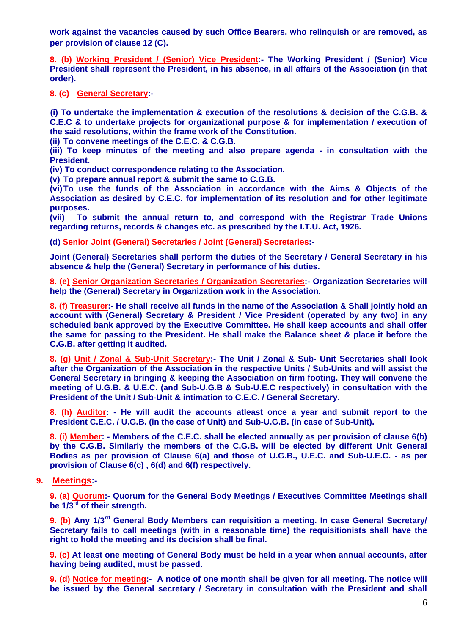**work against the vacancies caused by such Office Bearers, who relinquish or are removed, as per provision of clause 12 (C).** 

**8. (b) Working President / (Senior) Vice President:- The Working President / (Senior) Vice President shall represent the President, in his absence, in all affairs of the Association (in that order).** 

**8. (c) General Secretary:-** 

 **(i) To undertake the implementation & execution of the resolutions & decision of the C.G.B. & C.E.C & to undertake projects for organizational purpose & for implementation / execution of the said resolutions, within the frame work of the Constitution.** 

 **(ii) To convene meetings of the C.E.C. & C.G.B.** 

 **(iii) To keep minutes of the meeting and also prepare agenda - in consultation with the President.** 

 **(iv) To conduct correspondence relating to the Association.** 

 **(v) To prepare annual report & submit the same to C.G.B.** 

 **(vi) To use the funds of the Association in accordance with the Aims & Objects of the Association as desired by C.E.C. for implementation of its resolution and for other legitimate purposes.** 

 **(vii) To submit the annual return to, and correspond with the Registrar Trade Unions regarding returns, records & changes etc. as prescribed by the I.T.U. Act, 1926.** 

 **(d) Senior Joint (General) Secretaries / Joint (General) Secretaries:-** 

 **Joint (General) Secretaries shall perform the duties of the Secretary / General Secretary in his absence & help the (General) Secretary in performance of his duties.** 

**8. (e) Senior Organization Secretaries / Organization Secretaries:- Organization Secretaries will help the (General) Secretary in Organization work in the Association.** 

**8. (f) Treasurer:- He shall receive all funds in the name of the Association & Shall jointly hold an account with (General) Secretary & President / Vice President (operated by any two) in any scheduled bank approved by the Executive Committee. He shall keep accounts and shall offer the same for passing to the President. He shall make the Balance sheet & place it before the C.G.B. after getting it audited.** 

**8. (g) Unit / Zonal & Sub-Unit Secretary:- The Unit / Zonal & Sub- Unit Secretaries shall look after the Organization of the Association in the respective Units / Sub-Units and will assist the General Secretary in bringing & keeping the Association on firm footing. They will convene the meeting of U.G.B. & U.E.C. (and Sub-U.G.B & Sub-U.E.C respectively) in consultation with the President of the Unit / Sub-Unit & intimation to C.E.C. / General Secretary.** 

**8. (h) Auditor: - He will audit the accounts atleast once a year and submit report to the President C.E.C. / U.G.B. (in the case of Unit) and Sub-U.G.B. (in case of Sub-Unit).** 

**8. (i) Member: - Members of the C.E.C. shall be elected annually as per provision of clause 6(b) by the C.G.B. Similarly the members of the C.G.B. will be elected by different Unit General Bodies as per provision of Clause 6(a) and those of U.G.B., U.E.C. and Sub-U.E.C. - as per provision of Clause 6(c) , 6(d) and 6(f) respectively.** 

## **9. Meetings:-**

**9. (a) Quorum:- Quorum for the General Body Meetings / Executives Committee Meetings shall be 1/3rd of their strength.** 

**9. (b) Any 1/3rd General Body Members can requisition a meeting. In case General Secretary/ Secretary fails to call meetings (with in a reasonable time) the requisitionists shall have the right to hold the meeting and its decision shall be final.** 

**9. (c) At least one meeting of General Body must be held in a year when annual accounts, after having being audited, must be passed.** 

**9. (d) Notice for meeting:- A notice of one month shall be given for all meeting. The notice will be issued by the General secretary / Secretary in consultation with the President and shall**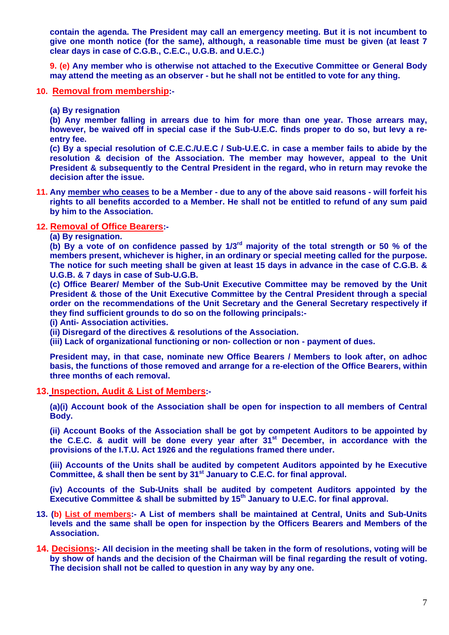**contain the agenda. The President may call an emergency meeting. But it is not incumbent to give one month notice (for the same), although, a reasonable time must be given (at least 7 clear days in case of C.G.B., C.E.C., U.G.B. and U.E.C.)** 

**9. (e) Any member who is otherwise not attached to the Executive Committee or General Body may attend the meeting as an observer - but he shall not be entitled to vote for any thing.** 

**10. Removal from membership:-** 

**(a) By resignation** 

**(b) Any member falling in arrears due to him for more than one year. Those arrears may, however, be waived off in special case if the Sub-U.E.C. finds proper to do so, but levy a reentry fee.** 

**(c) By a special resolution of C.E.C./U.E.C / Sub-U.E.C. in case a member fails to abide by the resolution & decision of the Association. The member may however, appeal to the Unit President & subsequently to the Central President in the regard, who in return may revoke the decision after the issue.** 

**11. Any member who ceases to be a Member - due to any of the above said reasons - will forfeit his rights to all benefits accorded to a Member. He shall not be entitled to refund of any sum paid by him to the Association.** 

## **12. Removal of Office Bearers:-**

**(a) By resignation.** 

**(b) By a vote of on confidence passed by 1/3rd majority of the total strength or 50 % of the members present, whichever is higher, in an ordinary or special meeting called for the purpose. The notice for such meeting shall be given at least 15 days in advance in the case of C.G.B. & U.G.B. & 7 days in case of Sub-U.G.B.** 

**(c) Office Bearer/ Member of the Sub-Unit Executive Committee may be removed by the Unit President & those of the Unit Executive Committee by the Central President through a special order on the recommendations of the Unit Secretary and the General Secretary respectively if they find sufficient grounds to do so on the following principals:-** 

**(i) Anti- Association activities.** 

**(ii) Disregard of the directives & resolutions of the Association.** 

**(iii) Lack of organizational functioning or non- collection or non - payment of dues.** 

 **President may, in that case, nominate new Office Bearers / Members to look after, on adhoc basis, the functions of those removed and arrange for a re-election of the Office Bearers, within three months of each removal.** 

**13. Inspection, Audit & List of Members:-** 

**(a)(i) Account book of the Association shall be open for inspection to all members of Central Body.** 

**(ii) Account Books of the Association shall be got by competent Auditors to be appointed by the C.E.C. & audit will be done every year after 31st December, in accordance with the provisions of the I.T.U. Act 1926 and the regulations framed there under.** 

**(iii) Accounts of the Units shall be audited by competent Auditors appointed by he Executive Committee, & shall then be sent by 31st January to C.E.C. for final approval.** 

**(iv) Accounts of the Sub-Units shall be audited by competent Auditors appointed by the Executive Committee & shall be submitted by 15th January to U.E.C. for final approval.** 

- **13. (b) List of members:- A List of members shall be maintained at Central, Units and Sub-Units levels and the same shall be open for inspection by the Officers Bearers and Members of the Association.**
- **14. Decisions:- All decision in the meeting shall be taken in the form of resolutions, voting will be by show of hands and the decision of the Chairman will be final regarding the result of voting. The decision shall not be called to question in any way by any one.**